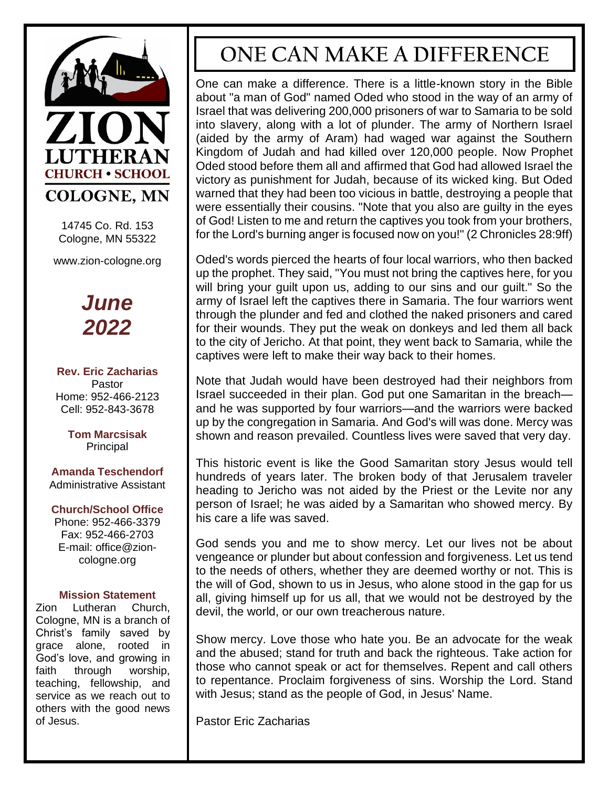

14745 Co. Rd. 153 Cologne, MN 55322

www.zion-cologne.org



**Rev. Eric Zacharias** Pastor Home: 952-466-2123 Cell: 952-843-3678

> **Tom Marcsisak** Principal

**Amanda Teschendorf** Administrative Assistant

#### **Church/School Office**

Phone: 952-466-3379 Fax: 952-466-2703 E-mail: office@zioncologne.org

#### **Mission Statement**

Zion Lutheran Church, Cologne, MN is a branch of Christ's family saved by grace alone, rooted in God's love, and growing in faith through worship, teaching, fellowship, and service as we reach out to others with the good news of Jesus.

## **ONE CAN MAKE A DIFFERENCE**

One can make a difference. There is a little-known story in the Bible about "a man of God" named Oded who stood in the way of an army of Israel that was delivering 200,000 prisoners of war to Samaria to be sold into slavery, along with a lot of plunder. The army of Northern Israel (aided by the army of Aram) had waged war against the Southern Kingdom of Judah and had killed over 120,000 people. Now Prophet Oded stood before them all and affirmed that God had allowed Israel the victory as punishment for Judah, because of its wicked king. But Oded warned that they had been too vicious in battle, destroying a people that were essentially their cousins. "Note that you also are guilty in the eyes of God! Listen to me and return the captives you took from your brothers, for the Lord's burning anger is focused now on you!" (2 Chronicles 28:9ff)

Oded's words pierced the hearts of four local warriors, who then backed up the prophet. They said, "You must not bring the captives here, for you will bring your guilt upon us, adding to our sins and our guilt." So the army of Israel left the captives there in Samaria. The four warriors went through the plunder and fed and clothed the naked prisoners and cared for their wounds. They put the weak on donkeys and led them all back to the city of Jericho. At that point, they went back to Samaria, while the captives were left to make their way back to their homes.

Note that Judah would have been destroyed had their neighbors from Israel succeeded in their plan. God put one Samaritan in the breach and he was supported by four warriors—and the warriors were backed up by the congregation in Samaria. And God's will was done. Mercy was shown and reason prevailed. Countless lives were saved that very day.

This historic event is like the Good Samaritan story Jesus would tell hundreds of years later. The broken body of that Jerusalem traveler heading to Jericho was not aided by the Priest or the Levite nor any person of Israel; he was aided by a Samaritan who showed mercy. By his care a life was saved.

God sends you and me to show mercy. Let our lives not be about vengeance or plunder but about confession and forgiveness. Let us tend to the needs of others, whether they are deemed worthy or not. This is the will of God, shown to us in Jesus, who alone stood in the gap for us all, giving himself up for us all, that we would not be destroyed by the devil, the world, or our own treacherous nature.

Show mercy. Love those who hate you. Be an advocate for the weak and the abused; stand for truth and back the righteous. Take action for those who cannot speak or act for themselves. Repent and call others to repentance. Proclaim forgiveness of sins. Worship the Lord. Stand with Jesus; stand as the people of God, in Jesus' Name.

Pastor Eric Zacharias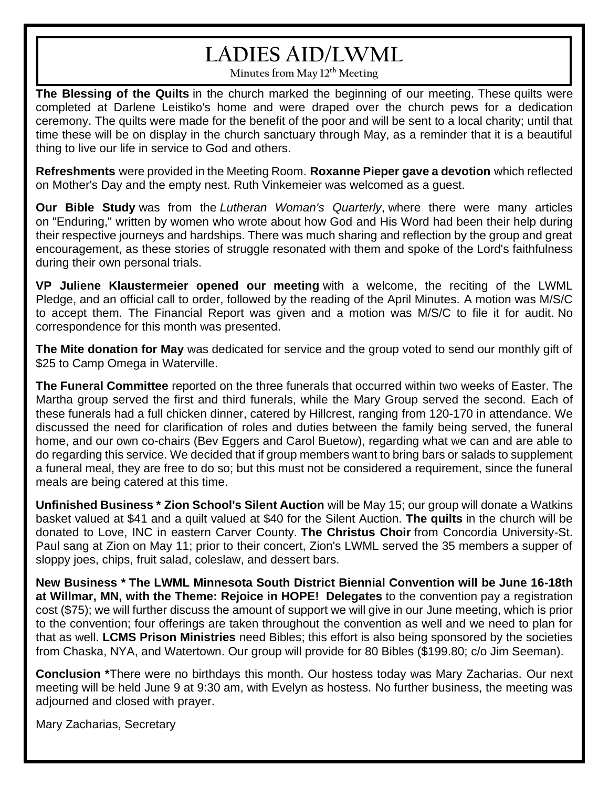# **LADIES AID/LWML**

**Minutes from May 12th Meeting**

**The Blessing of the Quilts** in the church marked the beginning of our meeting. These quilts were completed at Darlene Leistiko's home and were draped over the church pews for a dedication ceremony. The quilts were made for the benefit of the poor and will be sent to a local charity; until that time these will be on display in the church sanctuary through May, as a reminder that it is a beautiful thing to live our life in service to God and others.

**Refreshments** were provided in the Meeting Room. **Roxanne Pieper gave a devotion** which reflected on Mother's Day and the empty nest. Ruth Vinkemeier was welcomed as a guest.

**Our Bible Study** was from the *Lutheran Woman's Quarterly*, where there were many articles on "Enduring," written by women who wrote about how God and His Word had been their help during their respective journeys and hardships. There was much sharing and reflection by the group and great encouragement, as these stories of struggle resonated with them and spoke of the Lord's faithfulness during their own personal trials.

**VP Juliene Klaustermeier opened our meeting** with a welcome, the reciting of the LWML Pledge, and an official call to order, followed by the reading of the April Minutes. A motion was M/S/C to accept them. The Financial Report was given and a motion was M/S/C to file it for audit. No correspondence for this month was presented.

**The Mite donation for May** was dedicated for service and the group voted to send our monthly gift of \$25 to Camp Omega in Waterville.

**The Funeral Committee** reported on the three funerals that occurred within two weeks of Easter. The Martha group served the first and third funerals, while the Mary Group served the second. Each of these funerals had a full chicken dinner, catered by Hillcrest, ranging from 120-170 in attendance. We discussed the need for clarification of roles and duties between the family being served, the funeral home, and our own co-chairs (Bev Eggers and Carol Buetow), regarding what we can and are able to do regarding this service. We decided that if group members want to bring bars or salads to supplement a funeral meal, they are free to do so; but this must not be considered a requirement, since the funeral meals are being catered at this time.

**Unfinished Business \* Zion School's Silent Auction** will be May 15; our group will donate a Watkins basket valued at \$41 and a quilt valued at \$40 for the Silent Auction. **The quilts** in the church will be donated to Love, INC in eastern Carver County. **The Christus Choir** from Concordia University-St. Paul sang at Zion on May 11; prior to their concert, Zion's LWML served the 35 members a supper of sloppy joes, chips, fruit salad, coleslaw, and dessert bars.

**New Business \* The LWML Minnesota South District Biennial Convention will be June 16-18th at Willmar, MN, with the Theme: Rejoice in HOPE! Delegates** to the convention pay a registration cost (\$75); we will further discuss the amount of support we will give in our June meeting, which is prior to the convention; four offerings are taken throughout the convention as well and we need to plan for that as well. **LCMS Prison Ministries** need Bibles; this effort is also being sponsored by the societies from Chaska, NYA, and Watertown. Our group will provide for 80 Bibles (\$199.80; c/o Jim Seeman).

**Conclusion \***There were no birthdays this month. Our hostess today was Mary Zacharias. Our next meeting will be held June 9 at 9:30 am, with Evelyn as hostess. No further business, the meeting was adjourned and closed with prayer.

Mary Zacharias, Secretary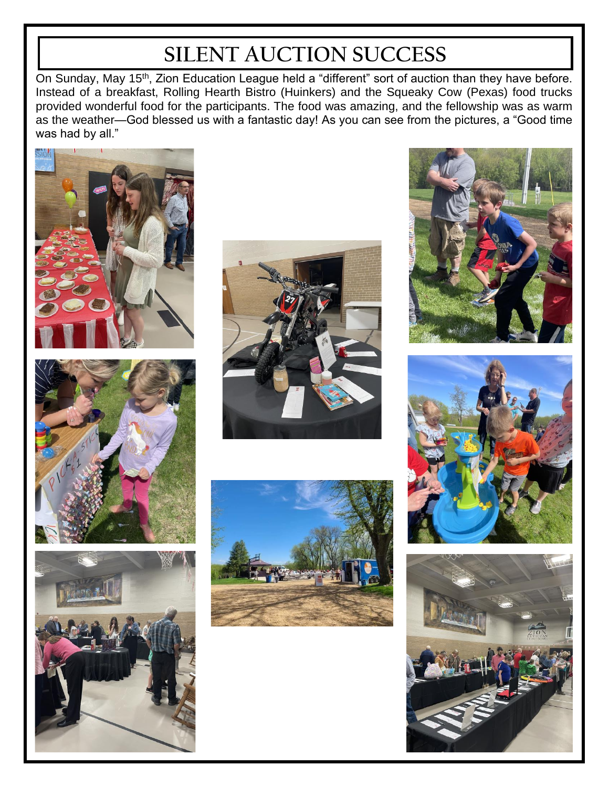# **SILENT AUCTION SUCCESS**

On Sunday, May 15<sup>th</sup>, Zion Education League held a "different" sort of auction than they have before. Instead of a breakfast, Rolling Hearth Bistro (Huinkers) and the Squeaky Cow (Pexas) food trucks provided wonderful food for the participants. The food was amazing, and the fellowship was as warm as the weather—God blessed us with a fantastic day! As you can see from the pictures, a "Good time was had by all."















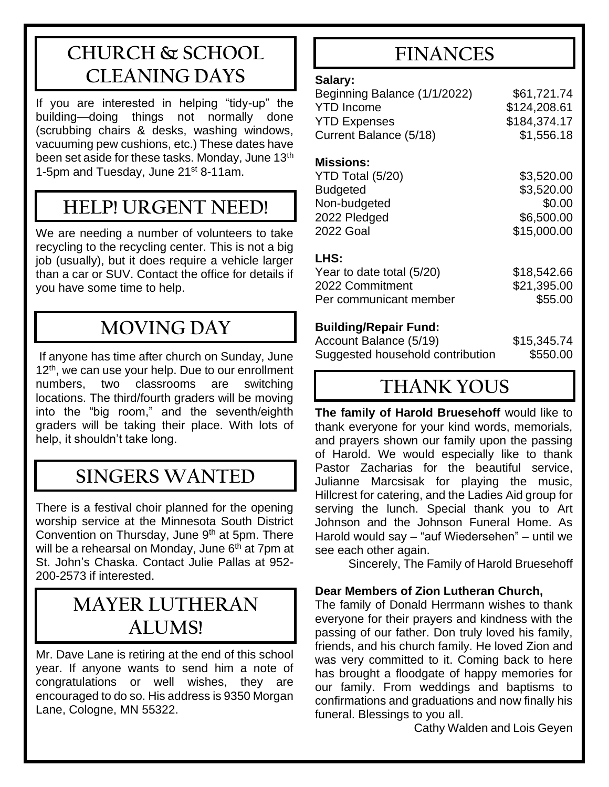## **CHURCH & SCHOOL CLEANING DAYS**

If you are interested in helping "tidy-up" the building—doing things not normally done (scrubbing chairs & desks, washing windows, vacuuming pew cushions, etc.) These dates have been set aside for these tasks. Monday, June 13<sup>th</sup> 1-5pm and Tuesday, June 21<sup>st</sup> 8-11am.

### **HELP! URGENT NEED!**

We are needing a number of volunteers to take recycling to the recycling center. This is not a big job (usually), but it does require a vehicle larger than a car or SUV. Contact the office for details if you have some time to help.

## **MOVING DAY**

If anyone has time after church on Sunday, June  $12<sup>th</sup>$ , we can use your help. Due to our enrollment numbers, two classrooms are switching locations. The third/fourth graders will be moving into the "big room," and the seventh/eighth graders will be taking their place. With lots of help, it shouldn't take long.

## **SINGERS WANTED**

There is a festival choir planned for the opening worship service at the Minnesota South District Convention on Thursday, June  $9<sup>th</sup>$  at 5pm. There will be a rehearsal on Monday, June 6<sup>th</sup> at 7pm at St. John's Chaska. Contact Julie Pallas at 952- 200-2573 if interested.

### **MAYER LUTHERAN ALUMS!**

Mr. Dave Lane is retiring at the end of this school year. If anyone wants to send him a note of congratulations or well wishes, they are encouraged to do so. His address is 9350 Morgan Lane, Cologne, MN 55322.

## **FINANCES**

#### **Salary:**

| Beginning Balance (1/1/2022)         | \$61,721.74  |
|--------------------------------------|--------------|
| <b>YTD Income</b>                    | \$124,208.61 |
| <b>YTD Expenses</b>                  | \$184,374.17 |
| Current Balance (5/18)               | \$1,556.18   |
| <b>Missions:</b><br>YTD Total (5/20) | \$3,520.00   |

| Budgeted     | \$3,520.00  |
|--------------|-------------|
| Non-budgeted | \$0.00      |
| 2022 Pledged | \$6,500.00  |
| 2022 Goal    | \$15,000.00 |
|              |             |

#### **LHS:**

| Year to date total (5/20) | \$18,542.66 |
|---------------------------|-------------|
| 2022 Commitment           | \$21,395.00 |
| Per communicant member    | \$55,00     |
|                           |             |

#### **Building/Repair Fund:**

| Account Balance (5/19)           | \$15,345.74 |
|----------------------------------|-------------|
| Suggested household contribution | \$550.00    |

### **THANK YOUS**

**The family of Harold Bruesehoff** would like to thank everyone for your kind words, memorials, and prayers shown our family upon the passing of Harold. We would especially like to thank Pastor Zacharias for the beautiful service, Julianne Marcsisak for playing the music, Hillcrest for catering, and the Ladies Aid group for serving the lunch. Special thank you to Art Johnson and the Johnson Funeral Home. As Harold would say – "auf Wiedersehen" – until we see each other again.

Sincerely, The Family of Harold Bruesehoff

#### **Dear Members of Zion Lutheran Church,**

The family of Donald Herrmann wishes to thank everyone for their prayers and kindness with the passing of our father. Don truly loved his family, friends, and his church family. He loved Zion and was very committed to it. Coming back to here has brought a floodgate of happy memories for our family. From weddings and baptisms to confirmations and graduations and now finally his funeral. Blessings to you all.

Cathy Walden and Lois Geyen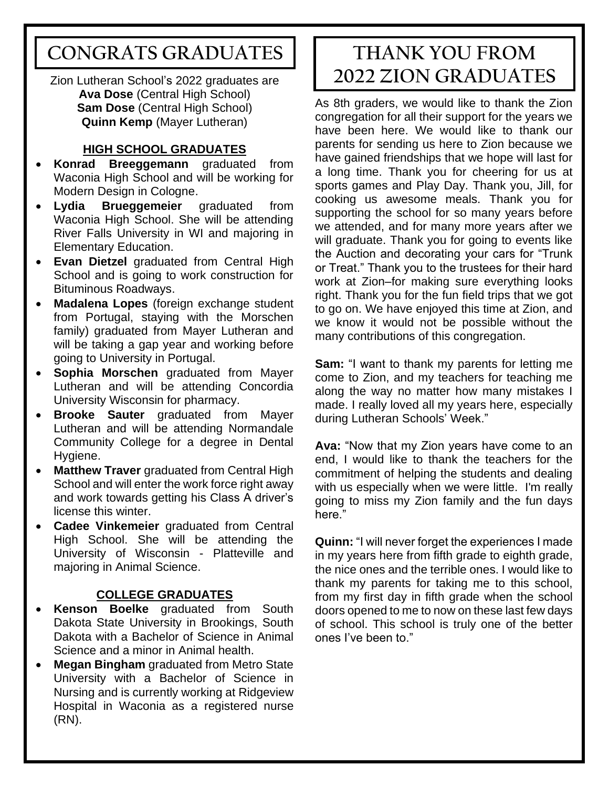## **CONGRATS GRADUATES**

Zion Lutheran School's 2022 graduates are **Ava Dose** (Central High School) **Sam Dose** (Central High School) **Quinn Kemp** (Mayer Lutheran)

#### **HIGH SCHOOL GRADUATES**

- **Konrad Breeggemann** graduated from Waconia High School and will be working for Modern Design in Cologne.
- **Lydia Brueggemeier** graduated from Waconia High School. She will be attending River Falls University in WI and majoring in Elementary Education.
- **Evan Dietzel** graduated from Central High School and is going to work construction for Bituminous Roadways.
- **Madalena Lopes** (foreign exchange student from Portugal, staying with the Morschen family) graduated from Mayer Lutheran and will be taking a gap year and working before going to University in Portugal.
- **Sophia Morschen** graduated from Mayer Lutheran and will be attending Concordia University Wisconsin for pharmacy.
- **Brooke Sauter** graduated from Mayer Lutheran and will be attending Normandale Community College for a degree in Dental Hygiene.
- **Matthew Traver** graduated from Central High School and will enter the work force right away and work towards getting his Class A driver's license this winter.
- **Cadee Vinkemeier** graduated from Central High School. She will be attending the University of Wisconsin - Platteville and majoring in Animal Science.

#### **COLLEGE GRADUATES**

- **Kenson Boelke** graduated from South Dakota State University in Brookings, South Dakota with a Bachelor of Science in Animal Science and a minor in Animal health.
- **Megan Bingham** graduated from Metro State University with a Bachelor of Science in Nursing and is currently working at Ridgeview Hospital in Waconia as a registered nurse (RN).

## **THANK YOU FROM 2022 ZION GRADUATES**

As 8th graders, we would like to thank the Zion congregation for all their support for the years we have been here. We would like to thank our parents for sending us here to Zion because we have gained friendships that we hope will last for a long time. Thank you for cheering for us at sports games and Play Day. Thank you, Jill, for cooking us awesome meals. Thank you for supporting the school for so many years before we attended, and for many more years after we will graduate. Thank you for going to events like the Auction and decorating your cars for "Trunk or Treat." Thank you to the trustees for their hard work at Zion–for making sure everything looks right. Thank you for the fun field trips that we got to go on. We have enjoyed this time at Zion, and we know it would not be possible without the many contributions of this congregation.

**Sam:** "I want to thank my parents for letting me come to Zion, and my teachers for teaching me along the way no matter how many mistakes I made. I really loved all my years here, especially during Lutheran Schools' Week."

**Ava:** "Now that my Zion years have come to an end, I would like to thank the teachers for the commitment of helping the students and dealing with us especially when we were little. I'm really going to miss my Zion family and the fun days here."

**Quinn:** "I will never forget the experiences I made in my years here from fifth grade to eighth grade, the nice ones and the terrible ones. I would like to thank my parents for taking me to this school, from my first day in fifth grade when the school doors opened to me to now on these last few days of school. This school is truly one of the better ones I've been to."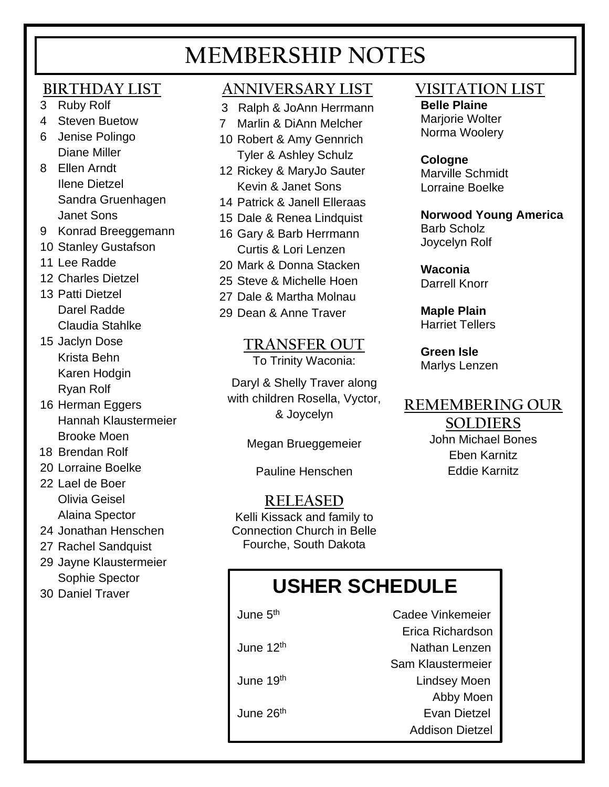# **MEMBERSHIP NOTES**

### **BIRTHDAY LIST**

- 3 Ruby Rolf
- 4 Steven Buetow
- 6 Jenise Polingo Diane Miller
- 8 Ellen Arndt Ilene Dietzel Sandra Gruenhagen Janet Sons
- 9 Konrad Breeggemann
- 10 Stanley Gustafson
- 11 Lee Radde
- 12 Charles Dietzel
- 13 Patti Dietzel Darel Radde Claudia Stahlke
- 15 Jaclyn Dose Krista Behn Karen Hodgin Ryan Rolf
- 16 Herman Eggers Hannah Klaustermeier Brooke Moen
- 18 Brendan Rolf
- 20 Lorraine Boelke
- 22 Lael de Boer Olivia Geisel Alaina Spector
- 24 Jonathan Henschen
- 27 Rachel Sandquist
- 29 Jayne Klaustermeier Sophie Spector
- 30 Daniel Traver

### **ANNIVERSARY LIST**

- 3 Ralph & JoAnn Herrmann
- 7 Marlin & DiAnn Melcher
- 10 Robert & Amy Gennrich Tyler & Ashley Schulz
- 12 Rickey & MaryJo Sauter Kevin & Janet Sons
- 14 Patrick & Janell Elleraas
- 15 Dale & Renea Lindquist
- 16 Gary & Barb Herrmann Curtis & Lori Lenzen
- 20 Mark & Donna Stacken
- 25 Steve & Michelle Hoen
- 27 Dale & Martha Molnau
- 29 Dean & Anne Traver

 **TRANSFER OUT** To Trinity Waconia:

Daryl & Shelly Traver along with children Rosella, Vyctor, & Joycelyn

Megan Brueggemeier

Pauline Henschen

**RELEASED** Kelli Kissack and family to Connection Church in Belle Fourche, South Dakota

### **VISITATION LIST**

**Belle Plaine**

Marjorie Wolter Norma Woolery

**Cologne** Marville Schmidt Lorraine Boelke

**Norwood Young America** Barb Scholz Joycelyn Rolf

**Waconia**  Darrell Knorr

**Maple Plain** Harriet Tellers

**Green Isle** Marlys Lenzen

### **REMEMBERING OUR**

#### **SOLDIERS**

John Michael Bones Eben Karnitz Eddie Karnitz

# **USHER SCHEDULE**

June 5<sup>th</sup>

June 12<sup>th</sup>

June 26<sup>th</sup>

 Cadee Vinkemeier Erica Richardson Nathan Lenzen Sam Klaustermeier June 19th Lindsey Moen Abby Moen Evan Dietzel Addison Dietzel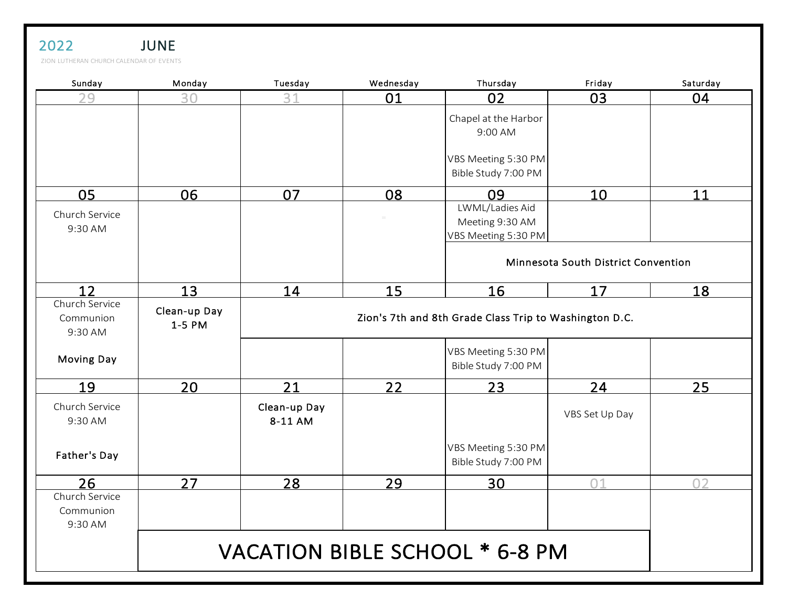| ZION LUTHERAN CHURCH CALENDAR OF EVENTS |                        |                                                        |           |                                                                 |                                     |          |
|-----------------------------------------|------------------------|--------------------------------------------------------|-----------|-----------------------------------------------------------------|-------------------------------------|----------|
| Sunday                                  | Monday                 | Tuesday                                                | Wednesday | Thursday                                                        | Friday                              | Saturday |
| 29                                      | 30                     | 31                                                     | 01        | 02                                                              | 03                                  | 04       |
|                                         |                        |                                                        |           | Chapel at the Harbor<br>9:00 AM<br>VBS Meeting 5:30 PM          |                                     |          |
|                                         |                        |                                                        |           | Bible Study 7:00 PM                                             |                                     |          |
| 05<br>Church Service<br>9:30 AM         | 06                     | 07                                                     | 08        | 09<br>LWML/Ladies Aid<br>Meeting 9:30 AM<br>VBS Meeting 5:30 PM | 10                                  | 11       |
|                                         |                        |                                                        |           |                                                                 | Minnesota South District Convention |          |
| 12                                      | 13                     | 14                                                     | 15        | <u>16</u>                                                       | 17                                  | 18       |
| Church Service<br>Communion<br>9:30 AM  | Clean-up Day<br>1-5 PM | Zion's 7th and 8th Grade Class Trip to Washington D.C. |           |                                                                 |                                     |          |
| <b>Moving Day</b>                       |                        |                                                        |           | VBS Meeting 5:30 PM<br>Bible Study 7:00 PM                      |                                     |          |
| <u>19</u>                               | 20                     | 21                                                     | 22        | 23                                                              | 24                                  | 25       |
| Church Service<br>9:30 AM               |                        | Clean-up Day<br>8-11 AM                                |           |                                                                 | VBS Set Up Day                      |          |
| Father's Day                            |                        |                                                        |           | VBS Meeting 5:30 PM<br>Bible Study 7:00 PM                      |                                     |          |
| 26<br>Church Service<br>Communion       | 27                     | 28                                                     | 29        | 30                                                              | 01                                  | 02       |
| 9:30 AM                                 |                        |                                                        |           | VACATION BIBLE SCHOOL * 6-8 PM                                  |                                     |          |